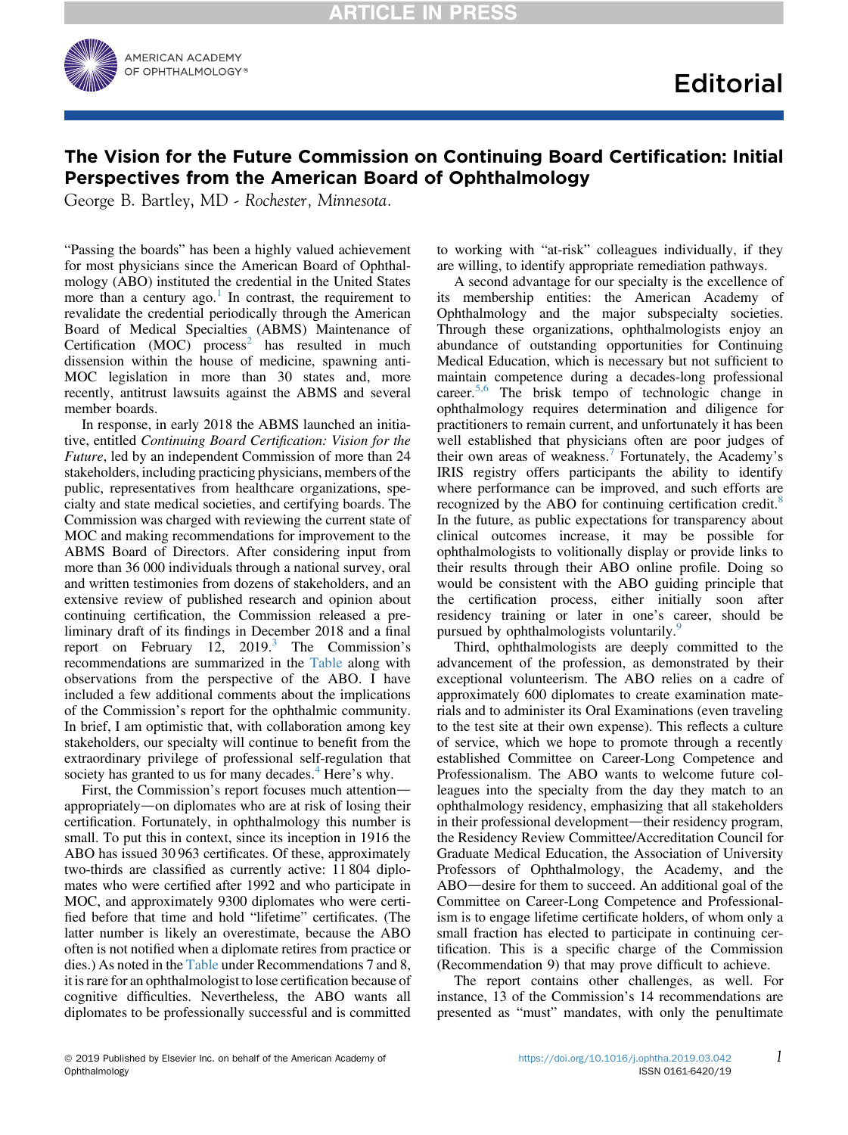

# The Vision for the Future Commission on Continuing Board Certification: Initial Perspectives from the American Board of Ophthalmology

George B. Bartley, MD - Rochester, Minnesota.

"Passing the boards" has been a highly valued achievement for most physicians since the American Board of Ophthalmology (ABO) instituted the credential in the United States more than a century  $ago.1$  $ago.1$  In contrast, the requirement to revalidate the credential periodically through the American Board of Medical Specialties (ABMS) Maintenance of Certification (MOC) process<sup>[2](#page-3-0)</sup> has resulted in much dissension within the house of medicine, spawning anti-MOC legislation in more than 30 states and, more recently, antitrust lawsuits against the ABMS and several member boards.

In response, in early 2018 the ABMS launched an initiative, entitled Continuing Board Certification: Vision for the Future, led by an independent Commission of more than 24 stakeholders, including practicing physicians, members of the public, representatives from healthcare organizations, specialty and state medical societies, and certifying boards. The Commission was charged with reviewing the current state of MOC and making recommendations for improvement to the ABMS Board of Directors. After considering input from more than 36 000 individuals through a national survey, oral and written testimonies from dozens of stakeholders, and an extensive review of published research and opinion about continuing certification, the Commission released a preliminary draft of its findings in December 2018 and a final report on February 12,  $2019.<sup>3</sup>$  $2019.<sup>3</sup>$  $2019.<sup>3</sup>$  The Commission's recommendations are summarized in the [Table](#page-1-0) along with observations from the perspective of the ABO. I have included a few additional comments about the implications of the Commission's report for the ophthalmic community. In brief, I am optimistic that, with collaboration among key stakeholders, our specialty will continue to benefit from the extraordinary privilege of professional self-regulation that society has granted to us for many decades.<sup>[4](#page-3-0)</sup> Here's why.

First, the Commission's report focuses much attention appropriately—on diplomates who are at risk of losing their certification. Fortunately, in ophthalmology this number is small. To put this in context, since its inception in 1916 the ABO has issued 30 963 certificates. Of these, approximately two-thirds are classified as currently active: 11 804 diplomates who were certified after 1992 and who participate in MOC, and approximately 9300 diplomates who were certified before that time and hold "lifetime" certificates. (The latter number is likely an overestimate, because the ABO often is not notified when a diplomate retires from practice or dies.) As noted in the [Table](#page-1-0) under Recommendations 7 and 8, it is rare for an ophthalmologist to lose certification because of cognitive difficulties. Nevertheless, the ABO wants all diplomates to be professionally successful and is committed to working with "at-risk" colleagues individually, if they are willing, to identify appropriate remediation pathways.

A second advantage for our specialty is the excellence of its membership entities: the American Academy of Ophthalmology and the major subspecialty societies. Through these organizations, ophthalmologists enjoy an abundance of outstanding opportunities for Continuing Medical Education, which is necessary but not sufficient to maintain competence during a decades-long professional career.<sup>[5,6](#page-3-0)</sup> The brisk tempo of technologic change in ophthalmology requires determination and diligence for practitioners to remain current, and unfortunately it has been well established that physicians often are poor judges of their own areas of weakness.<sup>[7](#page-3-0)</sup> Fortunately, the Academy's IRIS registry offers participants the ability to identify where performance can be improved, and such efforts are recognized by the ABO for continuing certification credit.<sup>[8](#page-3-0)</sup> In the future, as public expectations for transparency about clinical outcomes increase, it may be possible for ophthalmologists to volitionally display or provide links to their results through their ABO online profile. Doing so would be consistent with the ABO guiding principle that the certification process, either initially soon after residency training or later in one's career, should be pursued by ophthalmologists voluntarily.<sup>[9](#page-3-0)</sup>

Third, ophthalmologists are deeply committed to the advancement of the profession, as demonstrated by their exceptional volunteerism. The ABO relies on a cadre of approximately 600 diplomates to create examination materials and to administer its Oral Examinations (even traveling to the test site at their own expense). This reflects a culture of service, which we hope to promote through a recently established Committee on Career-Long Competence and Professionalism. The ABO wants to welcome future colleagues into the specialty from the day they match to an ophthalmology residency, emphasizing that all stakeholders in their professional development—their residency program, the Residency Review Committee/Accreditation Council for Graduate Medical Education, the Association of University Professors of Ophthalmology, the Academy, and the ABO—desire for them to succeed. An additional goal of the Committee on Career-Long Competence and Professionalism is to engage lifetime certificate holders, of whom only a small fraction has elected to participate in continuing certification. This is a specific charge of the Commission (Recommendation 9) that may prove difficult to achieve.

The report contains other challenges, as well. For instance, 13 of the Commission's 14 recommendations are presented as "must" mandates, with only the penultimate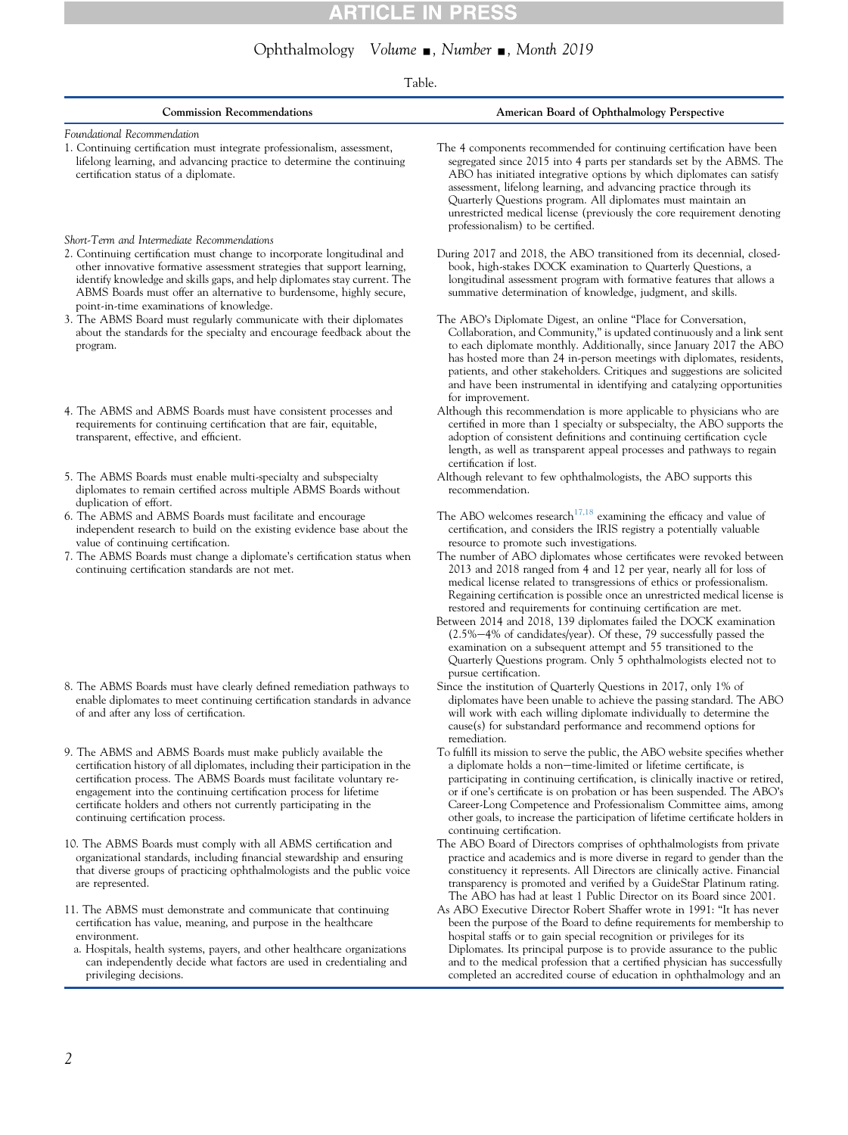# **ARTICLE IN PRESS**

# Ophthalmology Volume ., Number ., Month 2019

# Table.

<span id="page-1-0"></span>

| <b>Commission Recommendations</b>                                                                                                                                                                                                                                                                                                                                                                    | American Board of Ophthalmology Perspective                                                                                                                                                                                                                                                                                                                                                                                                                                                                                                                                                                                                                                           |
|------------------------------------------------------------------------------------------------------------------------------------------------------------------------------------------------------------------------------------------------------------------------------------------------------------------------------------------------------------------------------------------------------|---------------------------------------------------------------------------------------------------------------------------------------------------------------------------------------------------------------------------------------------------------------------------------------------------------------------------------------------------------------------------------------------------------------------------------------------------------------------------------------------------------------------------------------------------------------------------------------------------------------------------------------------------------------------------------------|
| Foundational Recommendation<br>1. Continuing certification must integrate professionalism, assessment,<br>lifelong learning, and advancing practice to determine the continuing<br>certification status of a diplomate.                                                                                                                                                                              | The 4 components recommended for continuing certification have been<br>segregated since 2015 into 4 parts per standards set by the ABMS. The<br>ABO has initiated integrative options by which diplomates can satisfy<br>assessment, lifelong learning, and advancing practice through its<br>Quarterly Questions program. All diplomates must maintain an<br>unrestricted medical license (previously the core requirement denoting<br>professionalism) to be certified.                                                                                                                                                                                                             |
| Short-Term and Intermediate Recommendations                                                                                                                                                                                                                                                                                                                                                          |                                                                                                                                                                                                                                                                                                                                                                                                                                                                                                                                                                                                                                                                                       |
| 2. Continuing certification must change to incorporate longitudinal and<br>other innovative formative assessment strategies that support learning,<br>identify knowledge and skills gaps, and help diplomates stay current. The<br>ABMS Boards must offer an alternative to burdensome, highly secure,<br>point-in-time examinations of knowledge.                                                   | During 2017 and 2018, the ABO transitioned from its decennial, closed-<br>book, high-stakes DOCK examination to Quarterly Questions, a<br>longitudinal assessment program with formative features that allows a<br>summative determination of knowledge, judgment, and skills.                                                                                                                                                                                                                                                                                                                                                                                                        |
| 3. The ABMS Board must regularly communicate with their diplomates<br>about the standards for the specialty and encourage feedback about the<br>program.                                                                                                                                                                                                                                             | The ABO's Diplomate Digest, an online "Place for Conversation,<br>Collaboration, and Community," is updated continuously and a link sent<br>to each diplomate monthly. Additionally, since January 2017 the ABO<br>has hosted more than 24 in-person meetings with diplomates, residents,<br>patients, and other stakeholders. Critiques and suggestions are solicited<br>and have been instrumental in identifying and catalyzing opportunities<br>for improvement.                                                                                                                                                                                                                  |
| 4. The ABMS and ABMS Boards must have consistent processes and<br>requirements for continuing certification that are fair, equitable,<br>transparent, effective, and efficient.                                                                                                                                                                                                                      | Although this recommendation is more applicable to physicians who are<br>certified in more than 1 specialty or subspecialty, the ABO supports the<br>adoption of consistent definitions and continuing certification cycle<br>length, as well as transparent appeal processes and pathways to regain<br>certification if lost.                                                                                                                                                                                                                                                                                                                                                        |
| 5. The ABMS Boards must enable multi-specialty and subspecialty<br>diplomates to remain certified across multiple ABMS Boards without<br>duplication of effort.                                                                                                                                                                                                                                      | Although relevant to few ophthalmologists, the ABO supports this<br>recommendation.                                                                                                                                                                                                                                                                                                                                                                                                                                                                                                                                                                                                   |
| 6. The ABMS and ABMS Boards must facilitate and encourage<br>independent research to build on the existing evidence base about the<br>value of continuing certification.                                                                                                                                                                                                                             | The ABO welcomes research <sup>17,18</sup> examining the efficacy and value of<br>certification, and considers the IRIS registry a potentially valuable<br>resource to promote such investigations.                                                                                                                                                                                                                                                                                                                                                                                                                                                                                   |
| 7. The ABMS Boards must change a diplomate's certification status when<br>continuing certification standards are not met.                                                                                                                                                                                                                                                                            | The number of ABO diplomates whose certificates were revoked between<br>2013 and 2018 ranged from 4 and 12 per year, nearly all for loss of<br>medical license related to transgressions of ethics or professionalism.<br>Regaining certification is possible once an unrestricted medical license is<br>restored and requirements for continuing certification are met.<br>Between 2014 and 2018, 139 diplomates failed the DOCK examination<br>(2.5%-4% of candidates/year). Of these, 79 successfully passed the<br>examination on a subsequent attempt and 55 transitioned to the<br>Quarterly Questions program. Only 5 ophthalmologists elected not to<br>pursue certification. |
| 8. The ABMS Boards must have clearly defined remediation pathways to<br>enable diplomates to meet continuing certification standards in advance<br>of and after any loss of certification.                                                                                                                                                                                                           | Since the institution of Quarterly Questions in 2017, only 1% of<br>diplomates have been unable to achieve the passing standard. The ABO<br>will work with each willing diplomate individually to determine the<br>cause(s) for substandard performance and recommend options for<br>remediation.                                                                                                                                                                                                                                                                                                                                                                                     |
| 9. The ABMS and ABMS Boards must make publicly available the<br>certification history of all diplomates, including their participation in the<br>certification process. The ABMS Boards must facilitate voluntary re-<br>engagement into the continuing certification process for lifetime<br>certificate holders and others not currently participating in the<br>continuing certification process. | To fulfill its mission to serve the public, the ABO website specifies whether<br>a diplomate holds a non-time-limited or lifetime certificate, is<br>participating in continuing certification, is clinically inactive or retired,<br>or if one's certificate is on probation or has been suspended. The ABO's<br>Career-Long Competence and Professionalism Committee aims, among<br>other goals, to increase the participation of lifetime certificate holders in<br>continuing certification.                                                                                                                                                                                      |
| 10. The ABMS Boards must comply with all ABMS certification and<br>organizational standards, including financial stewardship and ensuring<br>that diverse groups of practicing ophthalmologists and the public voice<br>are represented.                                                                                                                                                             | The ABO Board of Directors comprises of ophthalmologists from private<br>practice and academics and is more diverse in regard to gender than the<br>constituency it represents. All Directors are clinically active. Financial<br>transparency is promoted and verified by a GuideStar Platinum rating.<br>The ABO has had at least 1 Public Director on its Board since 2001.                                                                                                                                                                                                                                                                                                        |
| 11. The ABMS must demonstrate and communicate that continuing<br>certification has value, meaning, and purpose in the healthcare<br>environment.<br>a. Hospitals, health systems, payers, and other healthcare organizations<br>can independently decide what factors are used in credentialing and<br>privileging decisions.                                                                        | As ABO Executive Director Robert Shaffer wrote in 1991: "It has never<br>been the purpose of the Board to define requirements for membership to<br>hospital staffs or to gain special recognition or privileges for its<br>Diplomates. Its principal purpose is to provide assurance to the public<br>and to the medical profession that a certified physician has successfully<br>completed an accredited course of education in ophthalmology and an                                                                                                                                                                                                                                |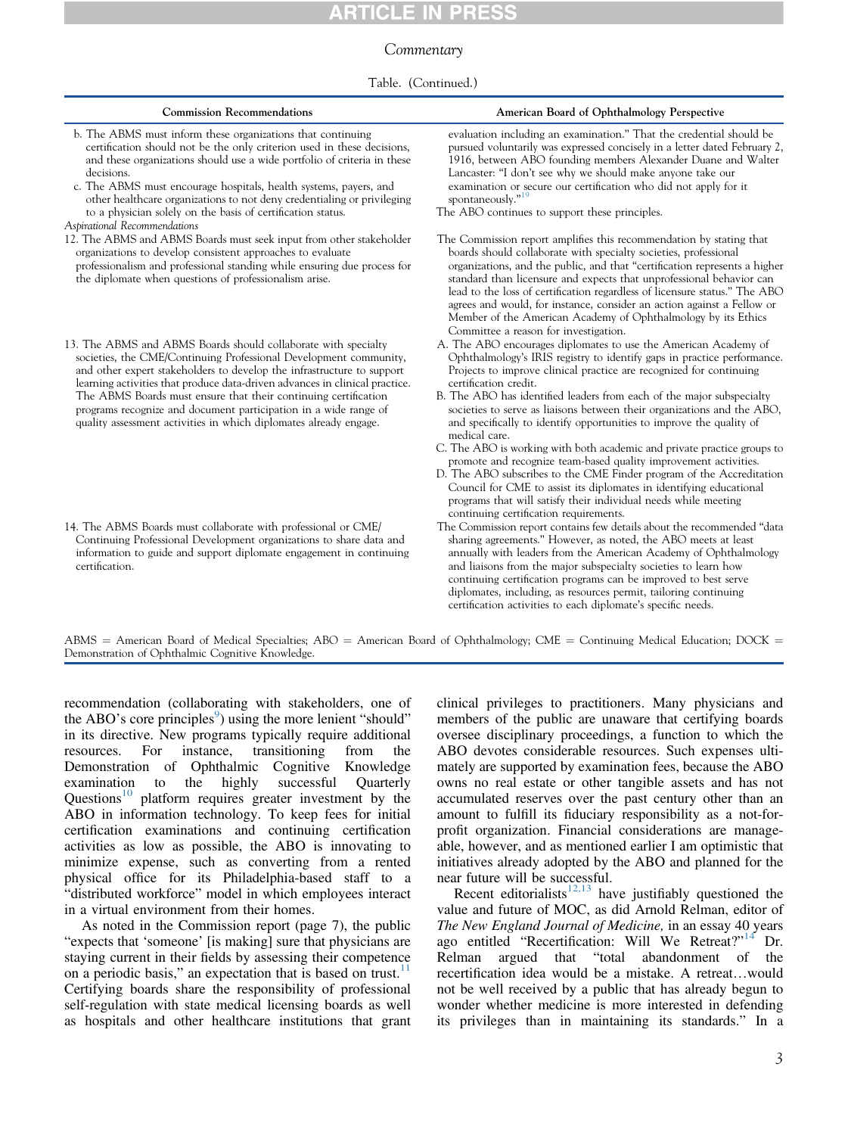### Commentary

#### Table. (Continued.)

| <b>Commission Recommendations</b>                                                                                                                                                                                                                                                                                                                                                                                                                                                                        | American Board of Ophthalmology Perspective                                                                                                                                                                                                                                                                                                                                                                                                                                                                                                                                                                                                                                                                                                                                           |
|----------------------------------------------------------------------------------------------------------------------------------------------------------------------------------------------------------------------------------------------------------------------------------------------------------------------------------------------------------------------------------------------------------------------------------------------------------------------------------------------------------|---------------------------------------------------------------------------------------------------------------------------------------------------------------------------------------------------------------------------------------------------------------------------------------------------------------------------------------------------------------------------------------------------------------------------------------------------------------------------------------------------------------------------------------------------------------------------------------------------------------------------------------------------------------------------------------------------------------------------------------------------------------------------------------|
| b. The ABMS must inform these organizations that continuing<br>certification should not be the only criterion used in these decisions,<br>and these organizations should use a wide portfolio of criteria in these<br>decisions.<br>c. The ABMS must encourage hospitals, health systems, payers, and<br>other healthcare organizations to not deny credentialing or privileging<br>to a physician solely on the basis of certification status.                                                          | evaluation including an examination." That the credential should be<br>pursued voluntarily was expressed concisely in a letter dated February 2,<br>1916, between ABO founding members Alexander Duane and Walter<br>Lancaster: "I don't see why we should make anyone take our<br>examination or secure our certification who did not apply for it<br>spontaneously." <sup>19</sup><br>The ABO continues to support these principles.                                                                                                                                                                                                                                                                                                                                                |
| Aspirational Recommendations<br>12. The ABMS and ABMS Boards must seek input from other stakeholder<br>organizations to develop consistent approaches to evaluate<br>professionalism and professional standing while ensuring due process for<br>the diplomate when questions of professionalism arise.                                                                                                                                                                                                  | The Commission report amplifies this recommendation by stating that<br>boards should collaborate with specialty societies, professional<br>organizations, and the public, and that "certification represents a higher<br>standard than licensure and expects that unprofessional behavior can<br>lead to the loss of certification regardless of licensure status." The ABO<br>agrees and would, for instance, consider an action against a Fellow or<br>Member of the American Academy of Ophthalmology by its Ethics<br>Committee a reason for investigation.                                                                                                                                                                                                                       |
| 13. The ABMS and ABMS Boards should collaborate with specialty<br>societies, the CME/Continuing Professional Development community,<br>and other expert stakeholders to develop the infrastructure to support<br>learning activities that produce data-driven advances in clinical practice.<br>The ABMS Boards must ensure that their continuing certification<br>programs recognize and document participation in a wide range of<br>quality assessment activities in which diplomates already engage. | A. The ABO encourages diplomates to use the American Academy of<br>Ophthalmology's IRIS registry to identify gaps in practice performance.<br>Projects to improve clinical practice are recognized for continuing<br>certification credit.<br>B. The ABO has identified leaders from each of the major subspecialty<br>societies to serve as liaisons between their organizations and the ABO,<br>and specifically to identify opportunities to improve the quality of<br>medical care.<br>C. The ABO is working with both academic and private practice groups to<br>promote and recognize team-based quality improvement activities.<br>D. The ABO subscribes to the CME Finder program of the Accreditation<br>Council for CME to assist its diplomates in identifying educational |
| 14. The ABMS Boards must collaborate with professional or CME/<br>Continuing Professional Development organizations to share data and<br>information to guide and support diplomate engagement in continuing<br>certification.                                                                                                                                                                                                                                                                           | programs that will satisfy their individual needs while meeting<br>continuing certification requirements.<br>The Commission report contains few details about the recommended "data<br>sharing agreements." However, as noted, the ABO meets at least<br>annually with leaders from the American Academy of Ophthalmology<br>and liaisons from the major subspecialty societies to learn how<br>continuing certification programs can be improved to best serve<br>diplomates, including, as resources permit, tailoring continuing<br>certification activities to each diplomate's specific needs.                                                                                                                                                                                   |
| ARMS = American Board of Medical Specialties: ARO = American Board of Ophthalmology: CME = Continuing Medical Education: DOCK =                                                                                                                                                                                                                                                                                                                                                                          |                                                                                                                                                                                                                                                                                                                                                                                                                                                                                                                                                                                                                                                                                                                                                                                       |

an Board of Ophthalmology; CME  $=$  Continuing Medical Education; DC Demonstration of Ophthalmic Cognitive Knowledge.

recommendation (collaborating with stakeholders, one of the ABO's core principles<sup>9</sup>) using the more lenient "should" in its directive. New programs typically require additional resources. For instance, transitioning from the resources. For instance, transitioning from the Demonstration of Ophthalmic Cognitive Knowledge examination to the highly successful Quarterly Questions<sup>10</sup> platform requires greater investment by the ABO in information technology. To keep fees for initial certification examinations and continuing certification activities as low as possible, the ABO is innovating to minimize expense, such as converting from a rented physical office for its Philadelphia-based staff to a "distributed workforce" model in which employees interact in a virtual environment from their homes.

As noted in the Commission report (page 7), the public "expects that 'someone' [is making] sure that physicians are staying current in their fields by assessing their competence on a periodic basis," an expectation that is based on trust.<sup>11</sup> Certifying boards share the responsibility of professional self-regulation with state medical licensing boards as well as hospitals and other healthcare institutions that grant

clinical privileges to practitioners. Many physicians and members of the public are unaware that certifying boards oversee disciplinary proceedings, a function to which the ABO devotes considerable resources. Such expenses ultimately are supported by examination fees, because the ABO owns no real estate or other tangible assets and has not accumulated reserves over the past century other than an amount to fulfill its fiduciary responsibility as a not-forprofit organization. Financial considerations are manageable, however, and as mentioned earlier I am optimistic that initiatives already adopted by the ABO and planned for the near future will be successful.

Recent editorialists $12,13$  have justifiably questioned the value and future of MOC, as did Arnold Relman, editor of The New England Journal of Medicine, in an essay 40 years ago entitled "Recertification: Will We Retreat?"<sup>[14](#page-3-0)</sup> Dr. Relman argued that "total abandonment of the recertification idea would be a mistake. A retreat...would not be well received by a public that has already begun to wonder whether medicine is more interested in defending its privileges than in maintaining its standards." In a